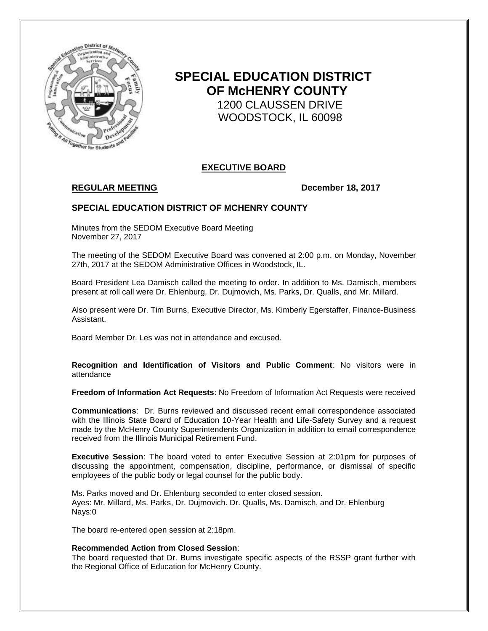

# **SPECIAL EDUCATION DISTRICT OF McHENRY COUNTY** 1200 CLAUSSEN DRIVE WOODSTOCK, IL 60098

# **EXECUTIVE BOARD**

# **REGULAR MEETING December 18, 2017**

## **SPECIAL EDUCATION DISTRICT OF MCHENRY COUNTY**

Minutes from the SEDOM Executive Board Meeting November 27, 2017

The meeting of the SEDOM Executive Board was convened at 2:00 p.m. on Monday, November 27th, 2017 at the SEDOM Administrative Offices in Woodstock, IL.

Board President Lea Damisch called the meeting to order. In addition to Ms. Damisch, members present at roll call were Dr. Ehlenburg, Dr. Dujmovich, Ms. Parks, Dr. Qualls, and Mr. Millard.

Also present were Dr. Tim Burns, Executive Director, Ms. Kimberly Egerstaffer, Finance-Business Assistant.

Board Member Dr. Les was not in attendance and excused.

**Recognition and Identification of Visitors and Public Comment**: No visitors were in attendance

**Freedom of Information Act Requests**: No Freedom of Information Act Requests were received

**Communications**: Dr. Burns reviewed and discussed recent email correspondence associated with the Illinois State Board of Education 10-Year Health and Life-Safety Survey and a request made by the McHenry County Superintendents Organization in addition to email correspondence received from the Illinois Municipal Retirement Fund.

**Executive Session**: The board voted to enter Executive Session at 2:01pm for purposes of discussing the appointment, compensation, discipline, performance, or dismissal of specific employees of the public body or legal counsel for the public body.

Ms. Parks moved and Dr. Ehlenburg seconded to enter closed session. Ayes: Mr. Millard, Ms. Parks, Dr. Dujmovich. Dr. Qualls, Ms. Damisch, and Dr. Ehlenburg Nays:0

The board re-entered open session at 2:18pm.

#### **Recommended Action from Closed Session**:

The board requested that Dr. Burns investigate specific aspects of the RSSP grant further with the Regional Office of Education for McHenry County.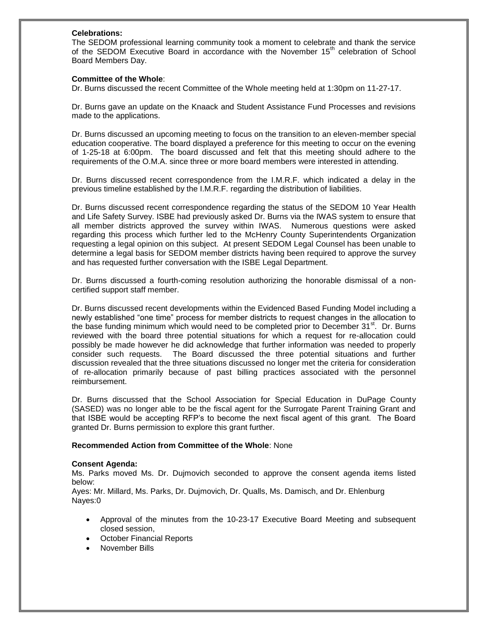#### **Celebrations:**

The SEDOM professional learning community took a moment to celebrate and thank the service of the SEDOM Executive Board in accordance with the November 15<sup>th</sup> celebration of School Board Members Day.

#### **Committee of the Whole**:

Dr. Burns discussed the recent Committee of the Whole meeting held at 1:30pm on 11-27-17.

Dr. Burns gave an update on the Knaack and Student Assistance Fund Processes and revisions made to the applications.

Dr. Burns discussed an upcoming meeting to focus on the transition to an eleven-member special education cooperative. The board displayed a preference for this meeting to occur on the evening of 1-25-18 at 6:00pm. The board discussed and felt that this meeting should adhere to the requirements of the O.M.A. since three or more board members were interested in attending.

Dr. Burns discussed recent correspondence from the I.M.R.F. which indicated a delay in the previous timeline established by the I.M.R.F. regarding the distribution of liabilities.

Dr. Burns discussed recent correspondence regarding the status of the SEDOM 10 Year Health and Life Safety Survey. ISBE had previously asked Dr. Burns via the IWAS system to ensure that all member districts approved the survey within IWAS. Numerous questions were asked regarding this process which further led to the McHenry County Superintendents Organization requesting a legal opinion on this subject. At present SEDOM Legal Counsel has been unable to determine a legal basis for SEDOM member districts having been required to approve the survey and has requested further conversation with the ISBE Legal Department.

Dr. Burns discussed a fourth-coming resolution authorizing the honorable dismissal of a noncertified support staff member.

Dr. Burns discussed recent developments within the Evidenced Based Funding Model including a newly established "one time" process for member districts to request changes in the allocation to the base funding minimum which would need to be completed prior to December 31 $\mathrm{^{st}}$ . Dr. Burns reviewed with the board three potential situations for which a request for re-allocation could possibly be made however he did acknowledge that further information was needed to properly consider such requests. The Board discussed the three potential situations and further discussion revealed that the three situations discussed no longer met the criteria for consideration of re-allocation primarily because of past billing practices associated with the personnel reimbursement.

Dr. Burns discussed that the School Association for Special Education in DuPage County (SASED) was no longer able to be the fiscal agent for the Surrogate Parent Training Grant and that ISBE would be accepting RFP's to become the next fiscal agent of this grant. The Board granted Dr. Burns permission to explore this grant further.

#### **Recommended Action from Committee of the Whole**: None

#### **Consent Agenda:**

Ms. Parks moved Ms. Dr. Dujmovich seconded to approve the consent agenda items listed below:

Ayes: Mr. Millard, Ms. Parks, Dr. Dujmovich, Dr. Qualls, Ms. Damisch, and Dr. Ehlenburg Nayes:0

- Approval of the minutes from the 10-23-17 Executive Board Meeting and subsequent closed session,
- October Financial Reports
- November Bills